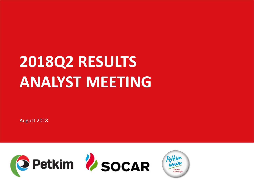# **2018Q2 RESULTS ANALYST MEETING**

August 2018



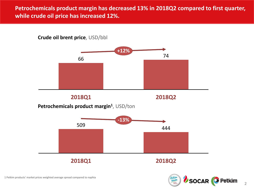## **Petrochemicals product margin has decreased 13% in 2018Q2 compared to first quarter, while crude oil price has increased 12%.**

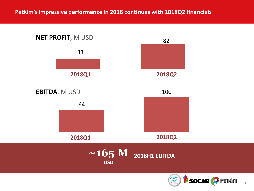**Petkim's impressive performance in 2018 continues with 2018Q2 financials**



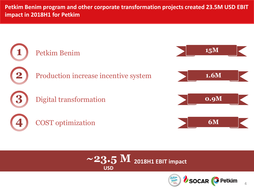**Petkim Benim program and other corporate transformation projects created 23.5M USD EBIT impact in 2018H1 for Petkim**





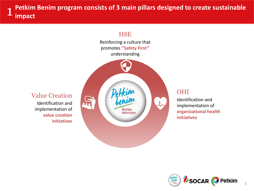**Petkim Benim program consists of 3 main pillars designed to create sustainable impact** 1



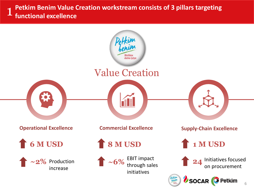**Petkim Benim Value Creation workstream consists of 3 pillars targeting functional excellence** 1

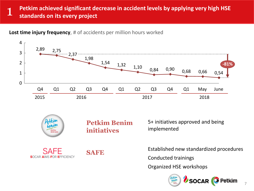#### **Petkim achieved significant decrease in accident levels by applying very high HSE standards on its every project** 1

**Lost time injury frequency**, # of accidents per million hours worked



SOCAR **Petkim** 

7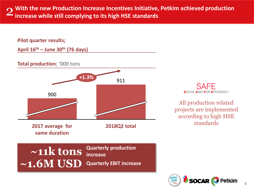**With the new Production Increase Incentives Initiative, Petkim achieved production** 2**increase while still complying to its high HSE standards**

#### **Pilot quarter results;**

**April 16th – June 30th (76 days)**

**Total production**; '000 tons



SAFF **SOCAR AIMS FOR EFFICIENCY** 

All production related projects are implemented according to high HSE standards

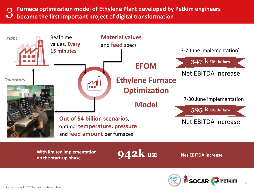**Furnace optimization model of Ethylene Plant developed by Petkim engineers became the first important project of digital transformation** 



**With limited implementation on the start-up phase**

**942k USD Net EBITDA increase**

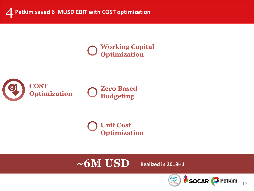# **Working Capital Optimization**



**Zero Based Budgeting**

**Unit Cost Optimization**

# $\sim$  6M USD Realized in 2018H1

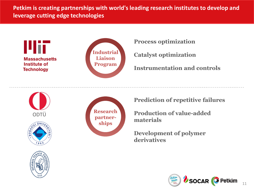**Petkim is creating partnerships with world's leading research institutes to develop and leverage cutting edge technologies**





**Process optimization**

**Catalyst optimization**

**Instrumentation and controls**









**Prediction of repetitive failures**

**Production of value-added materials**

**Development of polymer derivatives**

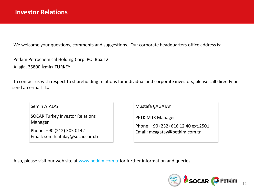We welcome your questions, comments and suggestions. Our corporate headquarters office address is:

Petkim Petrochemical Holding Corp. PO. Box.12 Aliağa, 35800 İzmir/ TURKEY

To contact us with respect to shareholding relations for individual and corporate investors, please call directly or send an e-mail to:

Semih ATALAY

SOCAR Turkey Investor Relations Manager

Phone: +90 (212) 305 0142 Email: semih.atalay@socar.com.tr Mustafa ÇAĞATAY

PETKIM IR Manager

Phone: +90 (232) 616 12 40 ext.2501 Email: mcagatay@petkim.com.tr

Also, please visit our web site at <u>www.petkim.com.tr</u> for further information and queries.